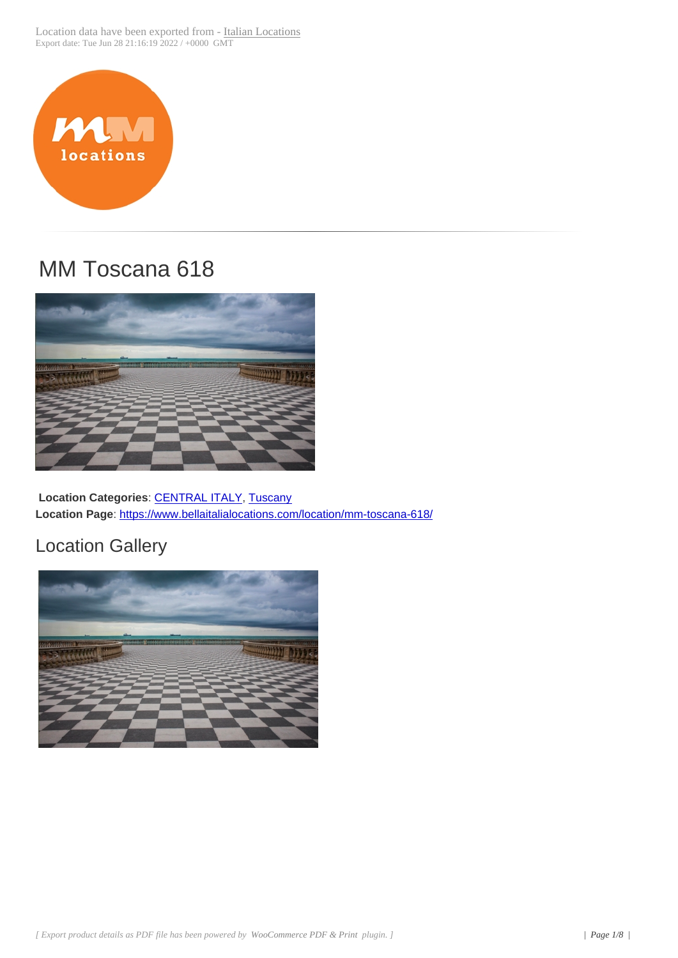

## MM Toscana 618



**Location Categories**: CENTRAL ITALY, Tuscany **Location Page**: https://www.bellaitalialocations.com/location/mm-toscana-618/

## Location Galle[ry](https://www.bellaitalialocations.com/location-category/central-italy/)

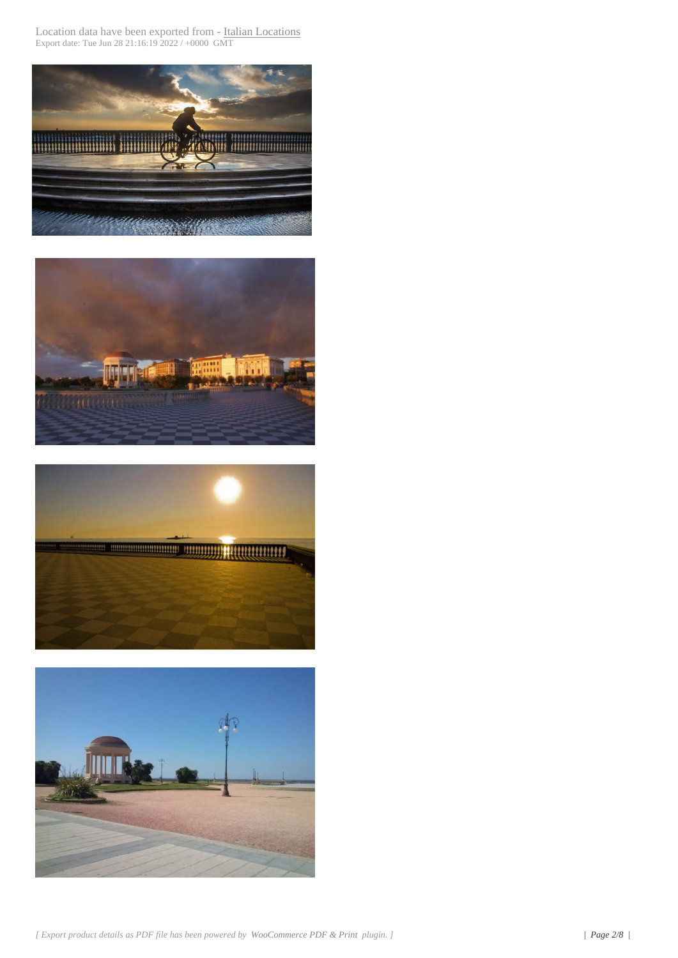





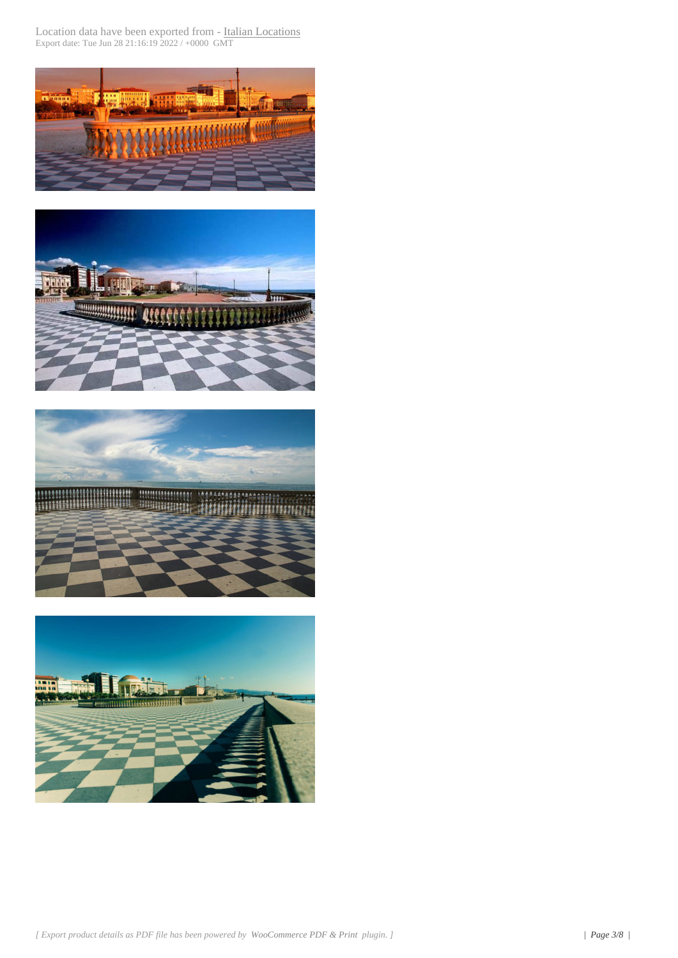





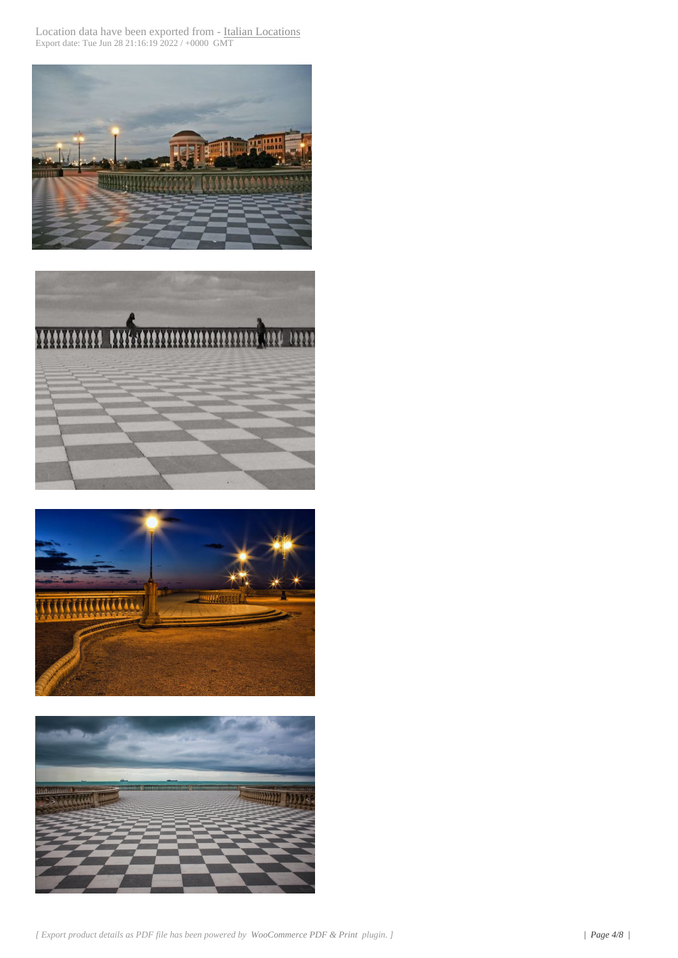





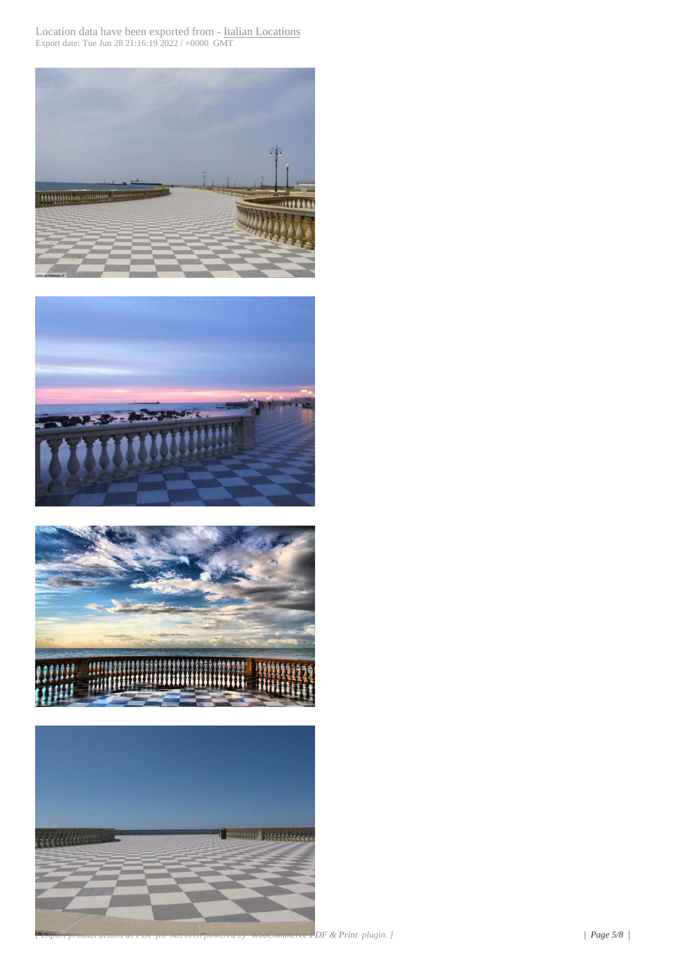





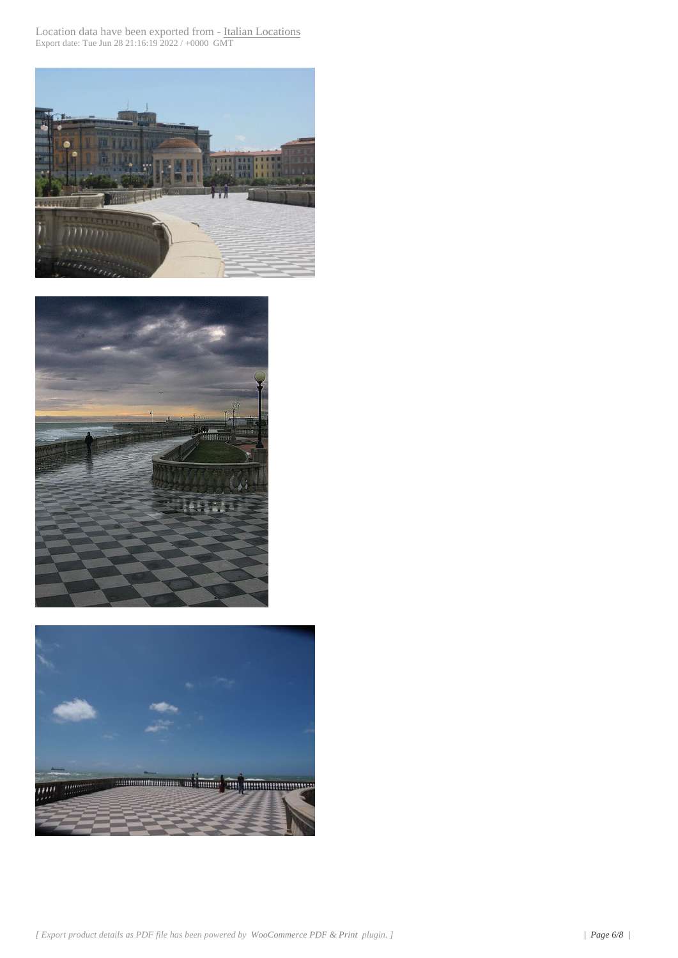



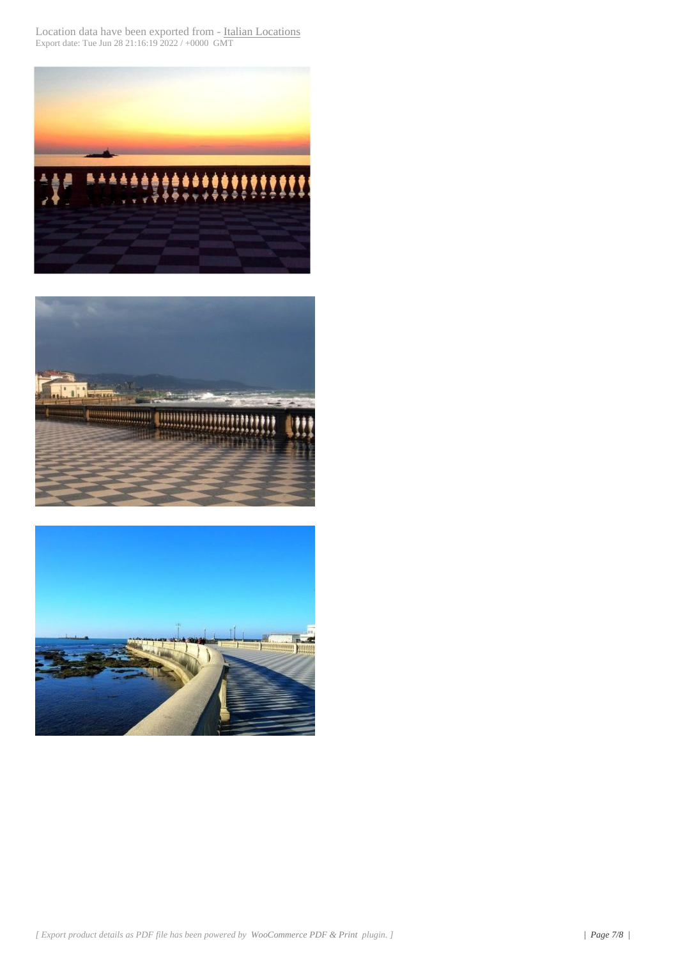